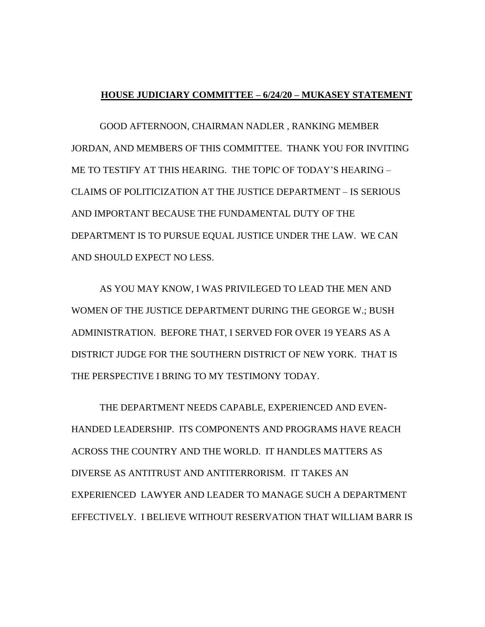## **HOUSE JUDICIARY COMMITTEE – 6/24/20 – MUKASEY STATEMENT**

GOOD AFTERNOON, CHAIRMAN NADLER , RANKING MEMBER JORDAN, AND MEMBERS OF THIS COMMITTEE. THANK YOU FOR INVITING ME TO TESTIFY AT THIS HEARING. THE TOPIC OF TODAY'S HEARING – CLAIMS OF POLITICIZATION AT THE JUSTICE DEPARTMENT – IS SERIOUS AND IMPORTANT BECAUSE THE FUNDAMENTAL DUTY OF THE DEPARTMENT IS TO PURSUE EQUAL JUSTICE UNDER THE LAW. WE CAN AND SHOULD EXPECT NO LESS.

AS YOU MAY KNOW, I WAS PRIVILEGED TO LEAD THE MEN AND WOMEN OF THE JUSTICE DEPARTMENT DURING THE GEORGE W.; BUSH ADMINISTRATION. BEFORE THAT, I SERVED FOR OVER 19 YEARS AS A DISTRICT JUDGE FOR THE SOUTHERN DISTRICT OF NEW YORK. THAT IS THE PERSPECTIVE I BRING TO MY TESTIMONY TODAY.

THE DEPARTMENT NEEDS CAPABLE, EXPERIENCED AND EVEN-HANDED LEADERSHIP. ITS COMPONENTS AND PROGRAMS HAVE REACH ACROSS THE COUNTRY AND THE WORLD. IT HANDLES MATTERS AS DIVERSE AS ANTITRUST AND ANTITERRORISM. IT TAKES AN EXPERIENCED LAWYER AND LEADER TO MANAGE SUCH A DEPARTMENT EFFECTIVELY. I BELIEVE WITHOUT RESERVATION THAT WILLIAM BARR IS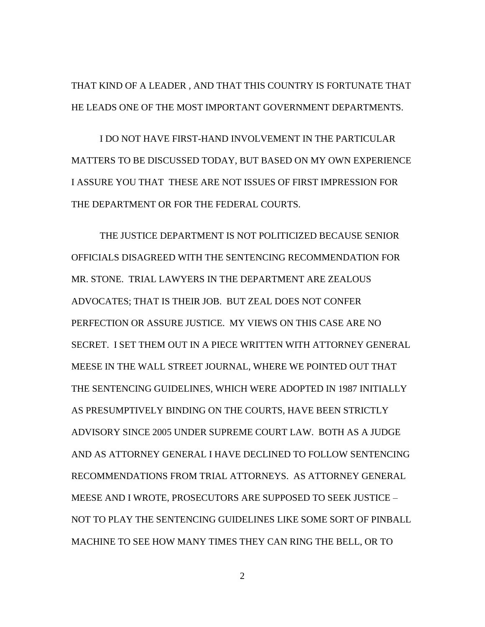THAT KIND OF A LEADER , AND THAT THIS COUNTRY IS FORTUNATE THAT HE LEADS ONE OF THE MOST IMPORTANT GOVERNMENT DEPARTMENTS.

I DO NOT HAVE FIRST-HAND INVOLVEMENT IN THE PARTICULAR MATTERS TO BE DISCUSSED TODAY, BUT BASED ON MY OWN EXPERIENCE I ASSURE YOU THAT THESE ARE NOT ISSUES OF FIRST IMPRESSION FOR THE DEPARTMENT OR FOR THE FEDERAL COURTS.

THE JUSTICE DEPARTMENT IS NOT POLITICIZED BECAUSE SENIOR OFFICIALS DISAGREED WITH THE SENTENCING RECOMMENDATION FOR MR. STONE. TRIAL LAWYERS IN THE DEPARTMENT ARE ZEALOUS ADVOCATES; THAT IS THEIR JOB. BUT ZEAL DOES NOT CONFER PERFECTION OR ASSURE JUSTICE. MY VIEWS ON THIS CASE ARE NO SECRET. I SET THEM OUT IN A PIECE WRITTEN WITH ATTORNEY GENERAL MEESE IN THE WALL STREET JOURNAL, WHERE WE POINTED OUT THAT THE SENTENCING GUIDELINES, WHICH WERE ADOPTED IN 1987 INITIALLY AS PRESUMPTIVELY BINDING ON THE COURTS, HAVE BEEN STRICTLY ADVISORY SINCE 2005 UNDER SUPREME COURT LAW. BOTH AS A JUDGE AND AS ATTORNEY GENERAL I HAVE DECLINED TO FOLLOW SENTENCING RECOMMENDATIONS FROM TRIAL ATTORNEYS. AS ATTORNEY GENERAL MEESE AND I WROTE, PROSECUTORS ARE SUPPOSED TO SEEK JUSTICE – NOT TO PLAY THE SENTENCING GUIDELINES LIKE SOME SORT OF PINBALL MACHINE TO SEE HOW MANY TIMES THEY CAN RING THE BELL, OR TO

2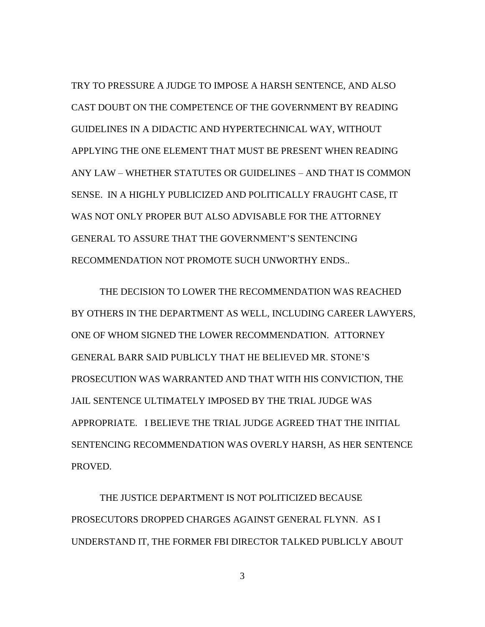TRY TO PRESSURE A JUDGE TO IMPOSE A HARSH SENTENCE, AND ALSO CAST DOUBT ON THE COMPETENCE OF THE GOVERNMENT BY READING GUIDELINES IN A DIDACTIC AND HYPERTECHNICAL WAY, WITHOUT APPLYING THE ONE ELEMENT THAT MUST BE PRESENT WHEN READING ANY LAW – WHETHER STATUTES OR GUIDELINES – AND THAT IS COMMON SENSE. IN A HIGHLY PUBLICIZED AND POLITICALLY FRAUGHT CASE, IT WAS NOT ONLY PROPER BUT ALSO ADVISABLE FOR THE ATTORNEY GENERAL TO ASSURE THAT THE GOVERNMENT'S SENTENCING RECOMMENDATION NOT PROMOTE SUCH UNWORTHY ENDS..

THE DECISION TO LOWER THE RECOMMENDATION WAS REACHED BY OTHERS IN THE DEPARTMENT AS WELL, INCLUDING CAREER LAWYERS, ONE OF WHOM SIGNED THE LOWER RECOMMENDATION. ATTORNEY GENERAL BARR SAID PUBLICLY THAT HE BELIEVED MR. STONE'S PROSECUTION WAS WARRANTED AND THAT WITH HIS CONVICTION, THE JAIL SENTENCE ULTIMATELY IMPOSED BY THE TRIAL JUDGE WAS APPROPRIATE. I BELIEVE THE TRIAL JUDGE AGREED THAT THE INITIAL SENTENCING RECOMMENDATION WAS OVERLY HARSH, AS HER SENTENCE PROVED.

THE JUSTICE DEPARTMENT IS NOT POLITICIZED BECAUSE PROSECUTORS DROPPED CHARGES AGAINST GENERAL FLYNN. AS I UNDERSTAND IT, THE FORMER FBI DIRECTOR TALKED PUBLICLY ABOUT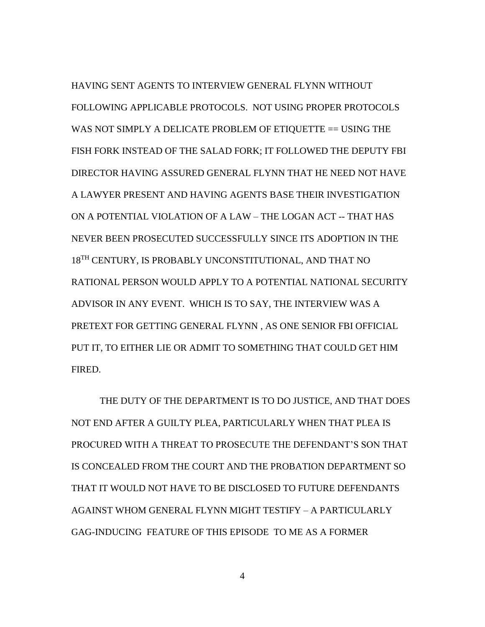HAVING SENT AGENTS TO INTERVIEW GENERAL FLYNN WITHOUT FOLLOWING APPLICABLE PROTOCOLS. NOT USING PROPER PROTOCOLS WAS NOT SIMPLY A DELICATE PROBLEM OF ETIQUETTE == USING THE FISH FORK INSTEAD OF THE SALAD FORK; IT FOLLOWED THE DEPUTY FBI DIRECTOR HAVING ASSURED GENERAL FLYNN THAT HE NEED NOT HAVE A LAWYER PRESENT AND HAVING AGENTS BASE THEIR INVESTIGATION ON A POTENTIAL VIOLATION OF A LAW – THE LOGAN ACT -- THAT HAS NEVER BEEN PROSECUTED SUCCESSFULLY SINCE ITS ADOPTION IN THE 18TH CENTURY, IS PROBABLY UNCONSTITUTIONAL, AND THAT NO RATIONAL PERSON WOULD APPLY TO A POTENTIAL NATIONAL SECURITY ADVISOR IN ANY EVENT. WHICH IS TO SAY, THE INTERVIEW WAS A PRETEXT FOR GETTING GENERAL FLYNN , AS ONE SENIOR FBI OFFICIAL PUT IT, TO EITHER LIE OR ADMIT TO SOMETHING THAT COULD GET HIM FIRED.

THE DUTY OF THE DEPARTMENT IS TO DO JUSTICE, AND THAT DOES NOT END AFTER A GUILTY PLEA, PARTICULARLY WHEN THAT PLEA IS PROCURED WITH A THREAT TO PROSECUTE THE DEFENDANT'S SON THAT IS CONCEALED FROM THE COURT AND THE PROBATION DEPARTMENT SO THAT IT WOULD NOT HAVE TO BE DISCLOSED TO FUTURE DEFENDANTS AGAINST WHOM GENERAL FLYNN MIGHT TESTIFY – A PARTICULARLY GAG-INDUCING FEATURE OF THIS EPISODE TO ME AS A FORMER

4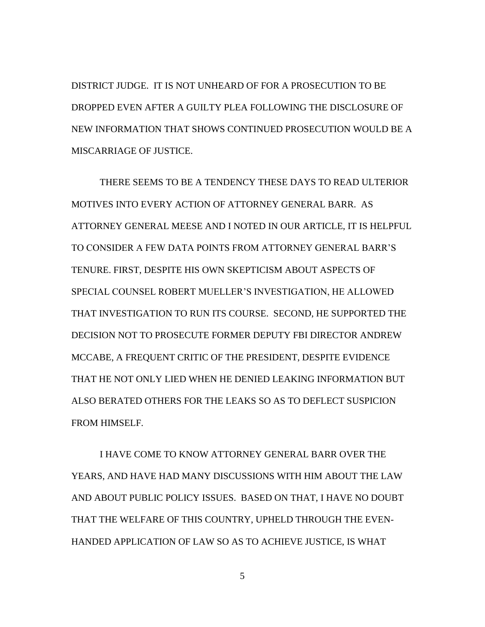DISTRICT JUDGE. IT IS NOT UNHEARD OF FOR A PROSECUTION TO BE DROPPED EVEN AFTER A GUILTY PLEA FOLLOWING THE DISCLOSURE OF NEW INFORMATION THAT SHOWS CONTINUED PROSECUTION WOULD BE A MISCARRIAGE OF JUSTICE.

THERE SEEMS TO BE A TENDENCY THESE DAYS TO READ ULTERIOR MOTIVES INTO EVERY ACTION OF ATTORNEY GENERAL BARR. AS ATTORNEY GENERAL MEESE AND I NOTED IN OUR ARTICLE, IT IS HELPFUL TO CONSIDER A FEW DATA POINTS FROM ATTORNEY GENERAL BARR'S TENURE. FIRST, DESPITE HIS OWN SKEPTICISM ABOUT ASPECTS OF SPECIAL COUNSEL ROBERT MUELLER'S INVESTIGATION, HE ALLOWED THAT INVESTIGATION TO RUN ITS COURSE. SECOND, HE SUPPORTED THE DECISION NOT TO PROSECUTE FORMER DEPUTY FBI DIRECTOR ANDREW MCCABE, A FREQUENT CRITIC OF THE PRESIDENT, DESPITE EVIDENCE THAT HE NOT ONLY LIED WHEN HE DENIED LEAKING INFORMATION BUT ALSO BERATED OTHERS FOR THE LEAKS SO AS TO DEFLECT SUSPICION FROM HIMSELF.

I HAVE COME TO KNOW ATTORNEY GENERAL BARR OVER THE YEARS, AND HAVE HAD MANY DISCUSSIONS WITH HIM ABOUT THE LAW AND ABOUT PUBLIC POLICY ISSUES. BASED ON THAT, I HAVE NO DOUBT THAT THE WELFARE OF THIS COUNTRY, UPHELD THROUGH THE EVEN-HANDED APPLICATION OF LAW SO AS TO ACHIEVE JUSTICE, IS WHAT

5